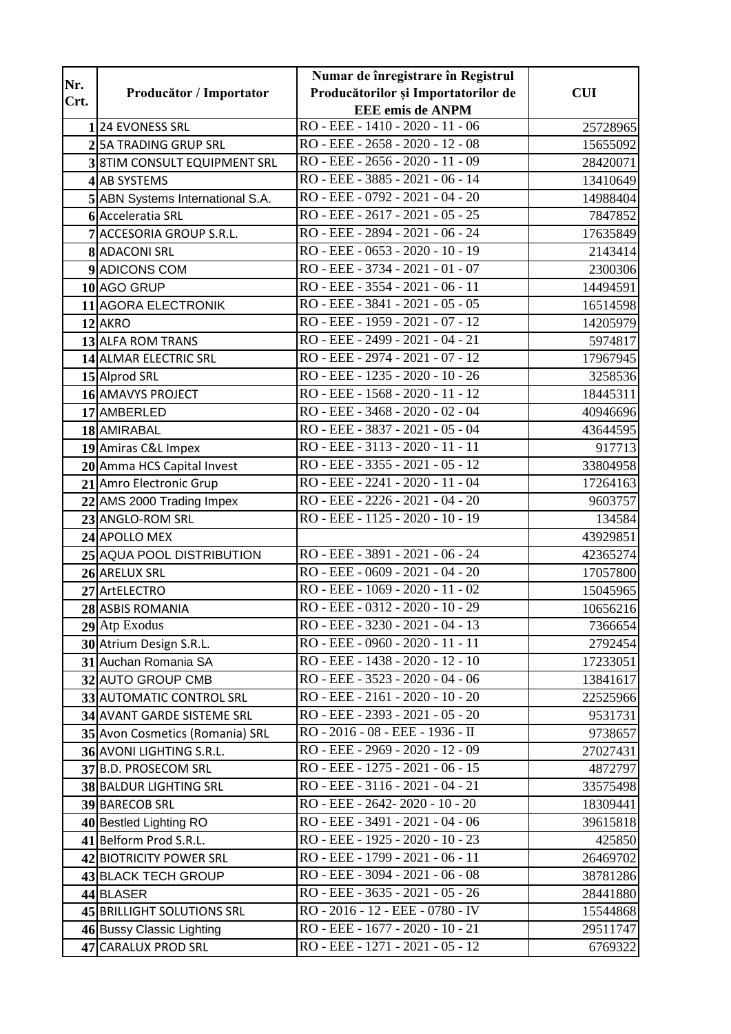| Nr.              |                                   | Numar de înregistrare în Registrul            |            |
|------------------|-----------------------------------|-----------------------------------------------|------------|
| Crt.             | Producător / Importator           | Producătorilor și Importatorilor de           | <b>CUI</b> |
|                  |                                   | <b>EEE</b> emis de ANPM                       |            |
|                  | <b>24 EVONESS SRL</b>             | RO - EEE - 1410 - 2020 - 11 - 06              | 25728965   |
|                  | <b>5A TRADING GRUP SRL</b>        | RO - EEE - 2658 - 2020 - 12 - 08              | 15655092   |
|                  | <b>8TIM CONSULT EQUIPMENT SRL</b> | RO - EEE - 2656 - 2020 - 11 - 09              | 28420071   |
| $\boldsymbol{4}$ | <b>AB SYSTEMS</b>                 | RO - EEE - 3885 - 2021 - 06 - 14              | 13410649   |
|                  | ABN Systems International S.A.    | RO - EEE - 0792 - 2021 - 04 - 20              | 14988404   |
|                  | 6 Acceleratia SRL                 | RO - EEE - 2617 - 2021 - 05 - 25              | 7847852    |
|                  | 7 ACCESORIA GROUP S.R.L.          | RO - EEE - 2894 - 2021 - 06 - 24              | 17635849   |
|                  | 8 ADACONI SRL                     | RO - EEE - 0653 - 2020 - 10 - 19              | 2143414    |
|                  | 9 ADICONS COM                     | RO - EEE - 3734 - 2021 - 01 - 07              | 2300306    |
|                  | 10 AGO GRUP                       | RO - EEE - 3554 - 2021 - 06 - 11              | 14494591   |
|                  | 11 AGORA ELECTRONIK               | RO - EEE - 3841 - 2021 - 05 - 05              | 16514598   |
|                  | 12 AKRO                           | RO - EEE - 1959 - 2021 - 07 - 12              | 14205979   |
|                  | 13 ALFA ROM TRANS                 | RO - EEE - 2499 - 2021 - 04 - 21              | 5974817    |
|                  | 14 ALMAR ELECTRIC SRL             | RO - EEE - 2974 - 2021 - 07 - 12              | 17967945   |
|                  | 15 Alprod SRL                     | RO - EEE - 1235 - 2020 - 10 - 26              | 3258536    |
|                  | 16 AMAVYS PROJECT                 | RO - EEE - 1568 - 2020 - 11 - 12              | 18445311   |
|                  | 17 AMBERLED                       | RO - EEE - 3468 - 2020 - 02 - 04              | 40946696   |
|                  | 18 AMIRABAL                       | RO - EEE - 3837 - 2021 - 05 - 04              | 43644595   |
|                  | 19 Amiras C&L Impex               | RO - EEE - 3113 - 2020 - 11 - 11              | 917713     |
|                  | 20 Amma HCS Capital Invest        | RO - EEE - 3355 - 2021 - 05 - 12              | 33804958   |
|                  | 21 Amro Electronic Grup           | RO - EEE - 2241 - 2020 - 11 - 04              | 17264163   |
|                  | 22 AMS 2000 Trading Impex         | RO - EEE - 2226 - 2021 - 04 - 20              | 9603757    |
|                  | 23 ANGLO-ROM SRL                  | RO - EEE - 1125 - 2020 - 10 - 19              | 134584     |
|                  | 24 APOLLO MEX                     |                                               | 43929851   |
|                  | 25 AQUA POOL DISTRIBUTION         | RO - EEE - 3891 - 2021 - 06 - 24              | 42365274   |
|                  | 26 ARELUX SRL                     | RO - EEE - 0609 - 2021 - 04 - 20              | 17057800   |
|                  | 27 ArtELECTRO                     | RO - EEE - 1069 - 2020 - 11 - 02              | 15045965   |
|                  | 28 ASBIS ROMANIA                  | RO - EEE - 0312 - 2020 - 10 - 29              | 10656216   |
|                  | 29 Atp Exodus                     | RO - EEE - 3230 - 2021 - 04 - 13              | 7366654    |
|                  | 30 Atrium Design S.R.L.           | RO - EEE - 0960 - 2020 - 11 - 11              | 2792454    |
|                  | 31 Auchan Romania SA              | RO - EEE - 1438 - 2020 - 12 - 10              | 17233051   |
|                  | 32 AUTO GROUP CMB                 | RO - EEE - 3523 - 2020 - 04 - 06              | 13841617   |
|                  | 33 AUTOMATIC CONTROL SRL          | RO - EEE - 2161 - 2020 - 10 - 20              | 22525966   |
|                  | 34 AVANT GARDE SISTEME SRL        | RO - EEE - 2393 - 2021 - 05 - 20              | 9531731    |
|                  | 35 Avon Cosmetics (Romania) SRL   | $\overline{RO}$ - 2016 - 08 - EEE - 1936 - II | 9738657    |
|                  | 36 AVONI LIGHTING S.R.L.          | RO - EEE - 2969 - 2020 - 12 - 09              | 27027431   |
|                  | 37 B.D. PROSECOM SRL              | RO - EEE - 1275 - 2021 - 06 - 15              | 4872797    |
|                  | 38 BALDUR LIGHTING SRL            | RO - EEE - 3116 - 2021 - 04 - 21              | 33575498   |
|                  | 39 BARECOB SRL                    | RO - EEE - 2642- 2020 - 10 - 20               | 18309441   |
|                  | 40 Bestled Lighting RO            | RO - EEE - 3491 - 2021 - 04 - 06              | 39615818   |
|                  | 41 Belform Prod S.R.L.            | RO - EEE - 1925 - 2020 - 10 - 23              | 425850     |
|                  | 42 BIOTRICITY POWER SRL           | RO - EEE - 1799 - 2021 - 06 - 11              | 26469702   |
|                  | 43 BLACK TECH GROUP               | RO - EEE - 3094 - 2021 - 06 - 08              | 38781286   |
|                  | 44 BLASER                         | RO - EEE - 3635 - 2021 - 05 - 26              | 28441880   |
|                  | 45 BRILLIGHT SOLUTIONS SRL        | RO - 2016 - 12 - EEE - 0780 - IV              | 15544868   |
|                  | 46 Bussy Classic Lighting         | RO - EEE - 1677 - 2020 - 10 - 21              | 29511747   |
|                  | 47 CARALUX PROD SRL               | RO - EEE - 1271 - 2021 - 05 - 12              | 6769322    |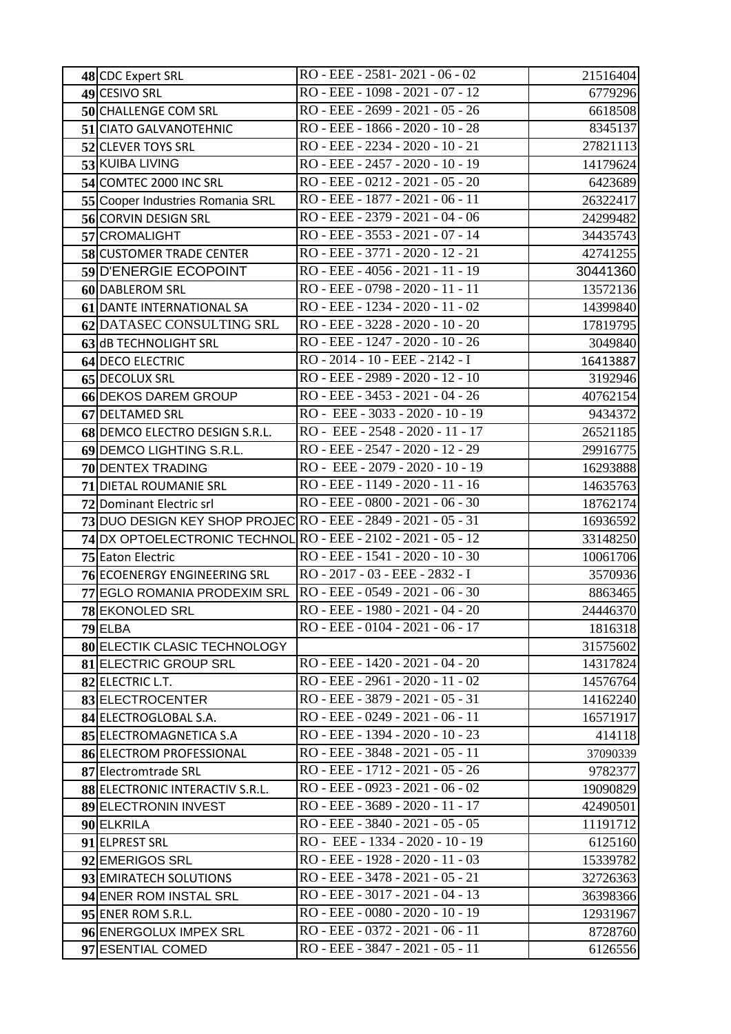| 48 CDC Expert SRL                                              | RO - EEE - 2581 - 2021 - 06 - 02 | 21516404 |
|----------------------------------------------------------------|----------------------------------|----------|
| 49 CESIVO SRL                                                  | RO - EEE - 1098 - 2021 - 07 - 12 | 6779296  |
| 50 CHALLENGE COM SRL                                           | RO - EEE - 2699 - 2021 - 05 - 26 | 6618508  |
| 51 CIATO GALVANOTEHNIC                                         | RO - EEE - 1866 - 2020 - 10 - 28 | 8345137  |
| 52 CLEVER TOYS SRL                                             | RO - EEE - 2234 - 2020 - 10 - 21 | 27821113 |
| 53 KUIBA LIVING                                                | RO - EEE - 2457 - 2020 - 10 - 19 | 14179624 |
| 54 COMTEC 2000 INC SRL                                         | RO - EEE - 0212 - 2021 - 05 - 20 | 6423689  |
| 55 Cooper Industries Romania SRL                               | RO - EEE - 1877 - 2021 - 06 - 11 | 26322417 |
| 56 CORVIN DESIGN SRL                                           | RO - EEE - 2379 - 2021 - 04 - 06 | 24299482 |
| 57 CROMALIGHT                                                  | RO - EEE - 3553 - 2021 - 07 - 14 | 34435743 |
| 58 CUSTOMER TRADE CENTER                                       | RO - EEE - 3771 - 2020 - 12 - 21 | 42741255 |
| 59 D'ENERGIE ECOPOINT                                          | RO - EEE - 4056 - 2021 - 11 - 19 | 30441360 |
| 60 DABLEROM SRL                                                | RO - EEE - 0798 - 2020 - 11 - 11 | 13572136 |
| 61 DANTE INTERNATIONAL SA                                      | RO - EEE - 1234 - 2020 - 11 - 02 | 14399840 |
| 62 DATASEC CONSULTING SRL                                      | RO - EEE - 3228 - 2020 - 10 - 20 | 17819795 |
| 63 dB TECHNOLIGHT SRL                                          | RO - EEE - 1247 - 2020 - 10 - 26 | 3049840  |
| 64 DECO ELECTRIC                                               | RO - 2014 - 10 - EEE - 2142 - I  | 16413887 |
| 65 DECOLUX SRL                                                 | RO - EEE - 2989 - 2020 - 12 - 10 | 3192946  |
| 66 DEKOS DAREM GROUP                                           | RO - EEE - 3453 - 2021 - 04 - 26 | 40762154 |
| 67 DELTAMED SRL                                                | RO - EEE - 3033 - 2020 - 10 - 19 | 9434372  |
| 68 DEMCO ELECTRO DESIGN S.R.L.                                 | RO - EEE - 2548 - 2020 - 11 - 17 | 26521185 |
| 69 DEMCO LIGHTING S.R.L.                                       | RO - EEE - 2547 - 2020 - 12 - 29 | 29916775 |
| 70 DENTEX TRADING                                              | RO - EEE - 2079 - 2020 - 10 - 19 | 16293888 |
| 71 DIETAL ROUMANIE SRL                                         | RO - EEE - 1149 - 2020 - 11 - 16 | 14635763 |
| 72 Dominant Electric srl                                       | RO - EEE - 0800 - 2021 - 06 - 30 | 18762174 |
| 73 DUO DESIGN KEY SHOP PROJEC RO - EEE - 2849 - 2021 - 05 - 31 |                                  | 16936592 |
| 74 DX OPTOELECTRONIC TECHNOL RO - EEE - 2102 - 2021 - 05 - 12  |                                  | 33148250 |
| 75 Eaton Electric                                              | RO - EEE - 1541 - 2020 - 10 - 30 | 10061706 |
| 76 ECOENERGY ENGINEERING SRL                                   | RO - 2017 - 03 - EEE - 2832 - I  | 3570936  |
| 77 EGLO ROMANIA PRODEXIM SRL                                   | RO - EEE - 0549 - 2021 - 06 - 30 | 8863465  |
| 78 EKONOLED SRL                                                | RO - EEE - 1980 - 2021 - 04 - 20 | 24446370 |
| 79 ELBA                                                        | RO - EEE - 0104 - 2021 - 06 - 17 | 1816318  |
| 80 ELECTIK CLASIC TECHNOLOGY                                   |                                  | 31575602 |
| 81 ELECTRIC GROUP SRL                                          | RO - EEE - 1420 - 2021 - 04 - 20 | 14317824 |
| 82 ELECTRIC L.T.                                               | RO - EEE - 2961 - 2020 - 11 - 02 | 14576764 |
| 83 ELECTROCENTER                                               | RO - EEE - 3879 - 2021 - 05 - 31 | 14162240 |
| 84 ELECTROGLOBAL S.A.                                          | RO - EEE - 0249 - 2021 - 06 - 11 | 16571917 |
| 85 ELECTROMAGNETICA S.A                                        | RO - EEE - 1394 - 2020 - 10 - 23 | 414118   |
| 86 ELECTROM PROFESSIONAL                                       | RO - EEE - 3848 - 2021 - 05 - 11 | 37090339 |
| 87 Electromtrade SRL                                           | RO - EEE - 1712 - 2021 - 05 - 26 | 9782377  |
| 88 ELECTRONIC INTERACTIV S.R.L.                                | RO - EEE - 0923 - 2021 - 06 - 02 | 19090829 |
| 89 ELECTRONIN INVEST                                           | RO - EEE - 3689 - 2020 - 11 - 17 | 42490501 |
| 90 ELKRILA                                                     | RO - EEE - 3840 - 2021 - 05 - 05 | 11191712 |
| 91 ELPREST SRL                                                 | RO - EEE - 1334 - 2020 - 10 - 19 | 6125160  |
| 92 EMERIGOS SRL                                                | RO - EEE - 1928 - 2020 - 11 - 03 | 15339782 |
| 93 EMIRATECH SOLUTIONS                                         | RO - EEE - 3478 - 2021 - 05 - 21 | 32726363 |
| 94 ENER ROM INSTAL SRL                                         | RO - EEE - 3017 - 2021 - 04 - 13 | 36398366 |
| 95 ENER ROM S.R.L.                                             | RO - EEE - 0080 - 2020 - 10 - 19 | 12931967 |
| 96 ENERGOLUX IMPEX SRL                                         | RO - EEE - 0372 - 2021 - 06 - 11 | 8728760  |
| 97 ESENTIAL COMED                                              | RO - EEE - 3847 - 2021 - 05 - 11 | 6126556  |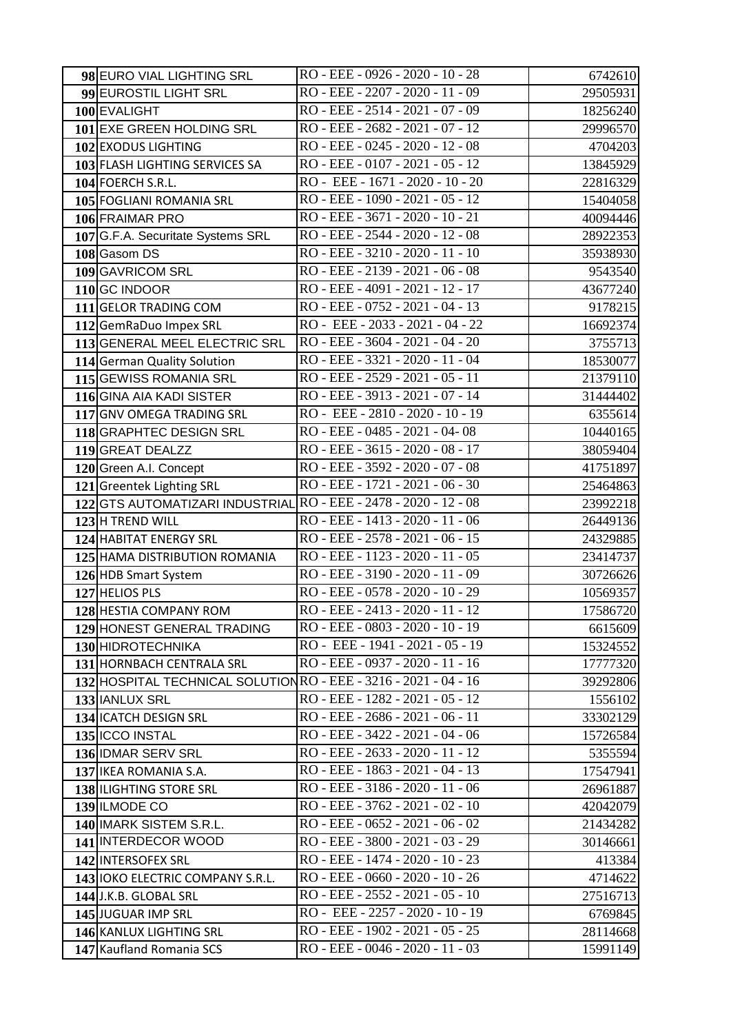| 98 EURO VIAL LIGHTING SRL                                        | RO - EEE - 0926 - 2020 - 10 - 28   | 6742610  |
|------------------------------------------------------------------|------------------------------------|----------|
| 99 EUROSTIL LIGHT SRL                                            | RO - EEE - 2207 - 2020 - 11 - 09   | 29505931 |
| 100 EVALIGHT                                                     | RO - EEE - 2514 - 2021 - 07 - 09   | 18256240 |
| 101 EXE GREEN HOLDING SRL                                        | RO - EEE - 2682 - 2021 - 07 - 12   | 29996570 |
| 102 EXODUS LIGHTING                                              | RO - EEE - 0245 - 2020 - 12 - 08   | 4704203  |
| 103 FLASH LIGHTING SERVICES SA                                   | RO - EEE - 0107 - 2021 - 05 - 12   | 13845929 |
| 104 FOERCH S.R.L.                                                | RO - EEE - 1671 - 2020 - 10 - 20   | 22816329 |
| 105 FOGLIANI ROMANIA SRL                                         | RO - EEE - 1090 - 2021 - 05 - 12   | 15404058 |
| 106 FRAIMAR PRO                                                  | RO - EEE - 3671 - 2020 - 10 - 21   | 40094446 |
| 107 G.F.A. Securitate Systems SRL                                | RO - EEE - 2544 - 2020 - 12 - 08   | 28922353 |
| 108 Gasom DS                                                     | RO - EEE - 3210 - 2020 - 11 - 10   | 35938930 |
| 109 GAVRICOM SRL                                                 | RO - EEE - 2139 - 2021 - 06 - 08   | 9543540  |
| 110 GC INDOOR                                                    | RO - EEE - 4091 - 2021 - 12 - 17   | 43677240 |
| 111 GELOR TRADING COM                                            | RO - EEE - 0752 - 2021 - 04 - 13   | 9178215  |
| 112 GemRaDuo Impex SRL                                           | RO - EEE - 2033 - 2021 - 04 - 22   | 16692374 |
| 113 GENERAL MEEL ELECTRIC SRL                                    | RO - EEE - 3604 - 2021 - 04 - 20   | 3755713  |
| 114 German Quality Solution                                      | RO - EEE - 3321 - 2020 - 11 - 04   | 18530077 |
| 115 GEWISS ROMANIA SRL                                           | RO - EEE - 2529 - 2021 - 05 - 11   | 21379110 |
| 116 GINA AIA KADI SISTER                                         | RO - EEE - 3913 - 2021 - 07 - 14   | 31444402 |
| 117 GNV OMEGA TRADING SRL                                        | RO - EEE - 2810 - 2020 - 10 - 19   | 6355614  |
| 118 GRAPHTEC DESIGN SRL                                          | RO - EEE - 0485 - 2021 - 04-08     | 10440165 |
| 119 GREAT DEALZZ                                                 | RO - EEE - 3615 - 2020 - 08 - 17   | 38059404 |
| 120 Green A.I. Concept                                           | RO - EEE - 3592 - 2020 - 07 - 08   | 41751897 |
| 121 Greentek Lighting SRL                                        | RO - EEE - 1721 - 2021 - 06 - 30   | 25464863 |
| 122 GTS AUTOMATIZARI INDUSTRIAL RO - EEE - 2478 - 2020 - 12 - 08 |                                    | 23992218 |
| 123 H TREND WILL                                                 | RO - EEE - 1413 - 2020 - 11 - 06   | 26449136 |
| 124 HABITAT ENERGY SRL                                           | RO - EEE - 2578 - 2021 - 06 - 15   | 24329885 |
| 125 HAMA DISTRIBUTION ROMANIA                                    | RO - EEE - 1123 - 2020 - 11 - 05   | 23414737 |
| 126 HDB Smart System                                             | RO - EEE - 3190 - 2020 - 11 - 09   | 30726626 |
| 127 HELIOS PLS                                                   | RO - EEE - 0578 - 2020 - 10 - 29   | 10569357 |
| 128 HESTIA COMPANY ROM                                           | RO - EEE - 2413 - 2020 - 11 - 12   | 17586720 |
| 129 HONEST GENERAL TRADING                                       | RO - EEE - 0803 - 2020 - 10 - 19   | 6615609  |
| 130 HIDROTECHNIKA                                                | RO - EEE - 1941 - 2021 - 05 - 19   | 15324552 |
| 131 HORNBACH CENTRALA SRL                                        | RO - EEE - 0937 - 2020 - 11 - 16   | 17777320 |
| 132 HOSPITAL TECHNICAL SOLUTION RO - EEE - 3216 - 2021 - 04 - 16 |                                    | 39292806 |
| 133 IANLUX SRL                                                   | RO - EEE - 1282 - 2021 - 05 - 12   | 1556102  |
| 134 ICATCH DESIGN SRL                                            | RO - EEE - 2686 - 2021 - 06 - 11   | 33302129 |
| 135 ICCO INSTAL                                                  | RO - EEE - 3422 - 2021 - 04 - 06   | 15726584 |
| 136 IDMAR SERV SRL                                               | RO - EEE - 2633 - 2020 - 11 - 12   | 5355594  |
| 137 IKEA ROMANIA S.A.                                            | RO - EEE - 1863 - 2021 - 04 - 13   | 17547941 |
| 138 ILIGHTING STORE SRL                                          | RO - EEE - 3186 - 2020 - 11 - 06   | 26961887 |
| 139 ILMODE CO                                                    | RO - EEE - 3762 - 2021 - 02 - 10   | 42042079 |
| 140 IMARK SISTEM S.R.L.                                          | $RO$ - EEE - 0652 - 2021 - 06 - 02 | 21434282 |
| 141 INTERDECOR WOOD                                              | RO - EEE - 3800 - 2021 - 03 - 29   | 30146661 |
| 142 INTERSOFEX SRL                                               | RO - EEE - 1474 - 2020 - 10 - 23   | 413384   |
| 143 IOKO ELECTRIC COMPANY S.R.L.                                 | RO - EEE - 0660 - 2020 - 10 - 26   | 4714622  |
| 144 J.K.B. GLOBAL SRL                                            | RO - EEE - 2552 - 2021 - 05 - 10   | 27516713 |
| 145 JUGUAR IMP SRL                                               | RO - EEE - 2257 - 2020 - 10 - 19   | 6769845  |
| 146 KANLUX LIGHTING SRL                                          | RO - EEE - 1902 - 2021 - 05 - 25   | 28114668 |
| 147 Kaufland Romania SCS                                         | $RO$ - EEE - 0046 - 2020 - 11 - 03 | 15991149 |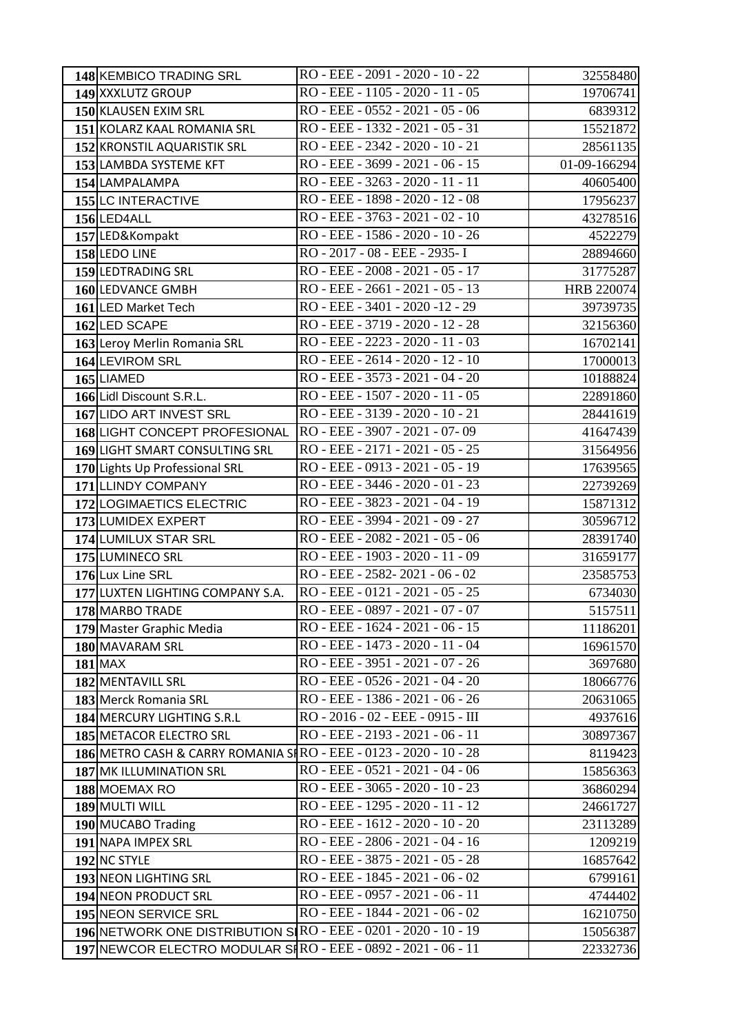| 148 KEMBICO TRADING SRL                                            | RO - EEE - 2091 - 2020 - 10 - 22  | 32558480     |
|--------------------------------------------------------------------|-----------------------------------|--------------|
| 149 XXXLUTZ GROUP                                                  | RO - EEE - 1105 - 2020 - 11 - 05  | 19706741     |
| 150 KLAUSEN EXIM SRL                                               | RO - EEE - 0552 - 2021 - 05 - 06  | 6839312      |
| 151 KOLARZ KAAL ROMANIA SRL                                        | RO - EEE - 1332 - 2021 - 05 - 31  | 15521872     |
| 152 KRONSTIL AQUARISTIK SRL                                        | RO - EEE - 2342 - 2020 - 10 - 21  | 28561135     |
| 153 LAMBDA SYSTEME KFT                                             | RO - EEE - 3699 - 2021 - 06 - 15  | 01-09-166294 |
| 154 LAMPALAMPA                                                     | RO - EEE - 3263 - 2020 - 11 - 11  | 40605400     |
| 155 LC INTERACTIVE                                                 | RO - EEE - 1898 - 2020 - 12 - 08  | 17956237     |
| 156 LED4ALL                                                        | RO - EEE - 3763 - 2021 - 02 - 10  | 43278516     |
| 157 LED&Kompakt                                                    | RO - EEE - 1586 - 2020 - 10 - 26  | 4522279      |
| 158 LEDO LINE                                                      | RO - 2017 - 08 - EEE - 2935- I    | 28894660     |
| 159 LEDTRADING SRL                                                 | RO - EEE - 2008 - 2021 - 05 - 17  | 31775287     |
| 160 LEDVANCE GMBH                                                  | RO - EEE - 2661 - 2021 - 05 - 13  | HRB 220074   |
| 161 LED Market Tech                                                | RO - EEE - 3401 - 2020 -12 - 29   | 39739735     |
| 162 LED SCAPE                                                      | RO - EEE - 3719 - 2020 - 12 - 28  | 32156360     |
| 163 Leroy Merlin Romania SRL                                       | RO - EEE - 2223 - 2020 - 11 - 03  | 16702141     |
| 164 LEVIROM SRL                                                    | RO - EEE - 2614 - 2020 - 12 - 10  | 17000013     |
| 165 LIAMED                                                         | RO - EEE - 3573 - 2021 - 04 - 20  | 10188824     |
| 166 Lidl Discount S.R.L.                                           | RO - EEE - 1507 - 2020 - 11 - 05  | 22891860     |
| 167 LIDO ART INVEST SRL                                            | RO - EEE - 3139 - 2020 - 10 - 21  | 28441619     |
| 168 LIGHT CONCEPT PROFESIONAL                                      | RO - EEE - 3907 - 2021 - 07-09    | 41647439     |
| 169 LIGHT SMART CONSULTING SRL                                     | RO - EEE - 2171 - 2021 - 05 - 25  | 31564956     |
| 170 Lights Up Professional SRL                                     | RO - EEE - 0913 - 2021 - 05 - 19  | 17639565     |
| 171 LLINDY COMPANY                                                 | RO - EEE - 3446 - 2020 - 01 - 23  | 22739269     |
| 172 LOGIMAETICS ELECTRIC                                           | RO - EEE - 3823 - 2021 - 04 - 19  | 15871312     |
| 173 LUMIDEX EXPERT                                                 | RO - EEE - 3994 - 2021 - 09 - 27  | 30596712     |
| 174 LUMILUX STAR SRL                                               | RO - EEE - 2082 - 2021 - 05 - 06  | 28391740     |
| 175 LUMINECO SRL                                                   | RO - EEE - 1903 - 2020 - 11 - 09  | 31659177     |
| 176 Lux Line SRL                                                   | RO - EEE - 2582-2021 - 06 - 02    | 23585753     |
| 177 LUXTEN LIGHTING COMPANY S.A.                                   | RO - EEE - 0121 - 2021 - 05 - 25  | 6734030      |
| 178 MARBO TRADE                                                    | RO - EEE - 0897 - 2021 - 07 - 07  | 5157511      |
| 179 Master Graphic Media                                           | RO - EEE - 1624 - 2021 - 06 - 15  | 11186201     |
| 180 MAVARAM SRL                                                    | RO - EEE - 1473 - 2020 - 11 - 04  | 16961570     |
| <b>181 MAX</b>                                                     | RO - EEE - 3951 - 2021 - 07 - 26  | 3697680      |
| 182 MENTAVILL SRL                                                  | RO - EEE - 0526 - 2021 - 04 - 20  | 18066776     |
| 183 Merck Romania SRL                                              | RO - EEE - 1386 - 2021 - 06 - 26  | 20631065     |
| 184 MERCURY LIGHTING S.R.L                                         | RO - 2016 - 02 - EEE - 0915 - III | 4937616      |
| 185 METACOR ELECTRO SRL                                            | RO - EEE - 2193 - 2021 - 06 - 11  | 30897367     |
| 186 METRO CASH & CARRY ROMANIA SI RO - EEE - 0123 - 2020 - 10 - 28 |                                   | 8119423      |
| 187 MK ILLUMINATION SRL                                            | RO - EEE - 0521 - 2021 - 04 - 06  | 15856363     |
| 188 MOEMAX RO                                                      | RO - EEE - 3065 - 2020 - 10 - 23  | 36860294     |
| 189 MULTI WILL                                                     | RO - EEE - 1295 - 2020 - 11 - 12  | 24661727     |
| 190 MUCABO Trading                                                 | RO - EEE - 1612 - 2020 - 10 - 20  | 23113289     |
| 191 NAPA IMPEX SRL                                                 | RO - EEE - 2806 - 2021 - 04 - 16  | 1209219      |
| 192 NC STYLE                                                       | RO - EEE - 3875 - 2021 - 05 - 28  | 16857642     |
| 193 NEON LIGHTING SRL                                              | RO - EEE - 1845 - 2021 - 06 - 02  | 6799161      |
| 194 NEON PRODUCT SRL                                               | RO - EEE - 0957 - 2021 - 06 - 11  | 4744402      |
| 195 NEON SERVICE SRL                                               | RO - EEE - 1844 - 2021 - 06 - 02  | 16210750     |
| 196 NETWORK ONE DISTRIBUTION S RO - EEE - 0201 - 2020 - 10 - 19    |                                   | 15056387     |
| 197 NEWCOR ELECTRO MODULAR SHRO - EEE - 0892 - 2021 - 06 - 11      |                                   | 22332736     |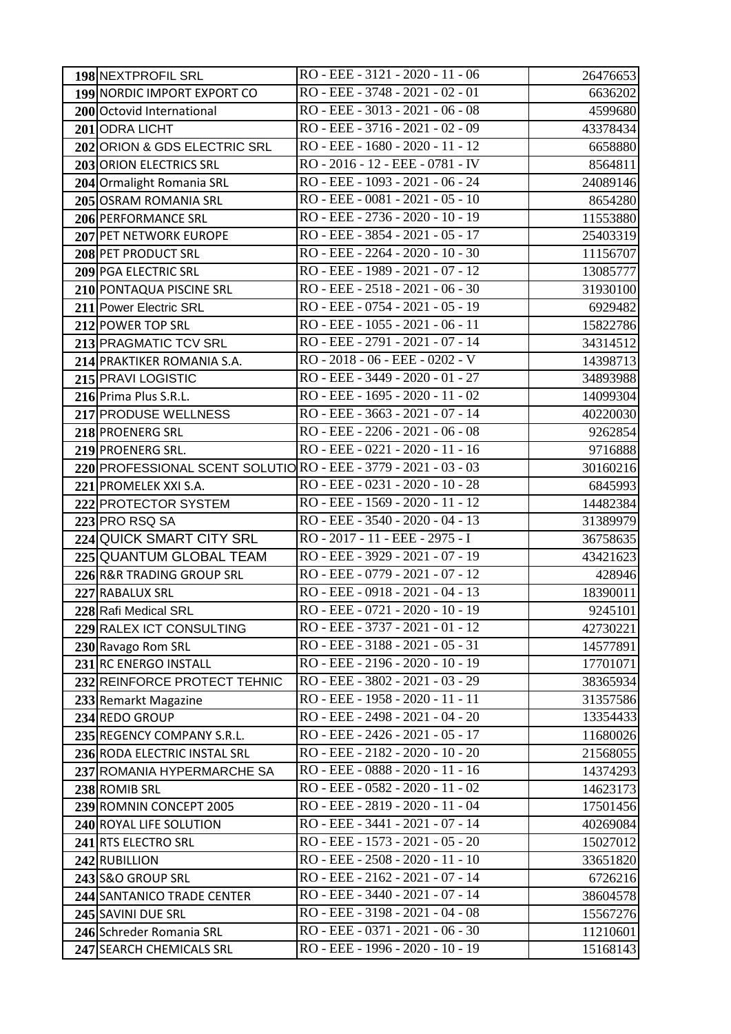| 198 NEXTPROFIL SRL                                              | RO - EEE - 3121 - 2020 - 11 - 06                                     | 26476653                                                                        |
|-----------------------------------------------------------------|----------------------------------------------------------------------|---------------------------------------------------------------------------------|
| 199 NORDIC IMPORT EXPORT CO                                     | RO - EEE - 3748 - 2021 - 02 - 01                                     | 6636202                                                                         |
| 200 Octovid International                                       | RO - EEE - 3013 - 2021 - 06 - 08                                     | 4599680                                                                         |
| 201 ODRA LICHT                                                  | RO - EEE - 3716 - 2021 - 02 - 09                                     | 43378434                                                                        |
| 202 ORION & GDS ELECTRIC SRL                                    | RO - EEE - 1680 - 2020 - 11 - 12                                     | 6658880                                                                         |
| 203 ORION ELECTRICS SRL                                         | RO - 2016 - 12 - EEE - 0781 - IV                                     | 8564811                                                                         |
| 204 Ormalight Romania SRL                                       | RO - EEE - 1093 - 2021 - 06 - 24                                     | 24089146                                                                        |
| 205 OSRAM ROMANIA SRL                                           | RO - EEE - 0081 - 2021 - 05 - 10                                     | 8654280                                                                         |
| 206 PERFORMANCE SRL                                             | RO - EEE - 2736 - 2020 - 10 - 19                                     | 11553880                                                                        |
| 207 PET NETWORK EUROPE                                          | RO - EEE - 3854 - 2021 - 05 - 17                                     | 25403319                                                                        |
| 208 PET PRODUCT SRL                                             | RO - EEE - 2264 - 2020 - 10 - 30                                     | 11156707                                                                        |
| 209 PGA ELECTRIC SRL                                            | RO - EEE - 1989 - 2021 - 07 - 12                                     | 13085777                                                                        |
| 210 PONTAQUA PISCINE SRL                                        | RO - EEE - 2518 - 2021 - 06 - 30                                     | 31930100                                                                        |
| 211 Power Electric SRL                                          | RO - EEE - 0754 - 2021 - 05 - 19                                     | 6929482                                                                         |
| 212 POWER TOP SRL                                               | RO - EEE - 1055 - 2021 - 06 - 11                                     | 15822786                                                                        |
| 213 PRAGMATIC TCV SRL                                           | RO - EEE - 2791 - 2021 - 07 - 14                                     | 34314512                                                                        |
| 214 PRAKTIKER ROMANIA S.A.                                      | RO - 2018 - 06 - EEE - 0202 - V                                      | 14398713                                                                        |
| 215 PRAVI LOGISTIC                                              | RO - EEE - 3449 - 2020 - 01 - 27                                     | 34893988                                                                        |
| 216 Prima Plus S.R.L.                                           | $RO$ - EEE - 1695 - 2020 - 11 - 02                                   | 14099304                                                                        |
| 217 PRODUSE WELLNESS                                            | RO - EEE - 3663 - 2021 - 07 - 14                                     | 40220030                                                                        |
| 218 PROENERG SRL                                                | RO - EEE - 2206 - 2021 - 06 - 08                                     | 9262854                                                                         |
| 219 PROENERG SRL.                                               | RO - EEE - 0221 - 2020 - 11 - 16                                     | 9716888                                                                         |
| 220 PROFESSIONAL SCENT SOLUTIO RO - EEE - 3779 - 2021 - 03 - 03 |                                                                      | 30160216                                                                        |
| 221 PROMELEK XXI S.A.                                           | RO - EEE - 0231 - 2020 - 10 - 28                                     | 6845993                                                                         |
| 222 PROTECTOR SYSTEM                                            | RO - EEE - 1569 - 2020 - 11 - 12                                     | 14482384                                                                        |
| 223 PRO RSQ SA                                                  | RO - EEE - 3540 - 2020 - 04 - 13                                     | 31389979                                                                        |
| 224 QUICK SMART CITY SRL                                        | RO - 2017 - 11 - EEE - 2975 - I                                      | 36758635                                                                        |
| 225 QUANTUM GLOBAL TEAM                                         | RO - EEE - 3929 - 2021 - 07 - 19                                     | 43421623                                                                        |
| 226 R&R TRADING GROUP SRL                                       | RO - EEE - 0779 - 2021 - 07 - 12                                     | 428946                                                                          |
| 227 RABALUX SRL                                                 | RO - EEE - 0918 - 2021 - 04 - 13                                     | 18390011                                                                        |
| 228 Rafi Medical SRL                                            | RO - EEE - 0721 - 2020 - 10 - 19                                     | 9245101                                                                         |
| 229 RALEX ICT CONSULTING                                        | RO - EEE - 3737 - 2021 - 01 - 12                                     | 42730221                                                                        |
| 230 Ravago Rom SRL                                              | RO - EEE - 3188 - 2021 - 05 - 31                                     | 14577891                                                                        |
| 231 RC ENERGO INSTALL                                           | RO - EEE - 2196 - 2020 - 10 - 19                                     | 17701071                                                                        |
| 232 REINFORCE PROTECT TEHNIC                                    | RO - EEE - 3802 - 2021 - 03 - 29                                     | 38365934                                                                        |
| 233 Remarkt Magazine                                            | RO - EEE - 1958 - 2020 - 11 - 11                                     | 31357586                                                                        |
| 234 REDO GROUP                                                  | RO - EEE - 2498 - 2021 - 04 - 20                                     | 13354433                                                                        |
| 235 REGENCY COMPANY S.R.L.                                      | RO - EEE - 2426 - 2021 - 05 - 17                                     | 11680026                                                                        |
| 236 RODA ELECTRIC INSTAL SRL                                    | RO - EEE - 2182 - 2020 - 10 - 20                                     | 21568055                                                                        |
| 237 ROMANIA HYPERMARCHE SA                                      | RO - EEE - 0888 - 2020 - 11 - 16                                     | 14374293                                                                        |
| 238 ROMIB SRL                                                   |                                                                      |                                                                                 |
|                                                                 | RO - EEE - 0582 - 2020 - 11 - 02                                     | 14623173                                                                        |
| 239 ROMNIN CONCEPT 2005                                         | RO - EEE - 2819 - 2020 - 11 - 04                                     | 17501456                                                                        |
| 240 ROYAL LIFE SOLUTION                                         | RO - EEE - 3441 - 2021 - 07 - 14                                     | 40269084                                                                        |
| 241 RTS ELECTRO SRL                                             | RO - EEE - 1573 - 2021 - 05 - 20                                     |                                                                                 |
| 242 RUBILLION                                                   | RO - EEE - 2508 - 2020 - 11 - 10                                     |                                                                                 |
| 243 S&O GROUP SRL                                               | RO - EEE - 2162 - 2021 - 07 - 14                                     |                                                                                 |
| 244 SANTANICO TRADE CENTER                                      | RO - EEE - 3440 - 2021 - 07 - 14                                     |                                                                                 |
| 245 SAVINI DUE SRL                                              | RO - EEE - 3198 - 2021 - 04 - 08                                     |                                                                                 |
| 246 Schreder Romania SRL<br>247 SEARCH CHEMICALS SRL            | RO - EEE - 0371 - 2021 - 06 - 30<br>RO - EEE - 1996 - 2020 - 10 - 19 | 15027012<br>33651820<br>6726216<br>38604578<br>15567276<br>11210601<br>15168143 |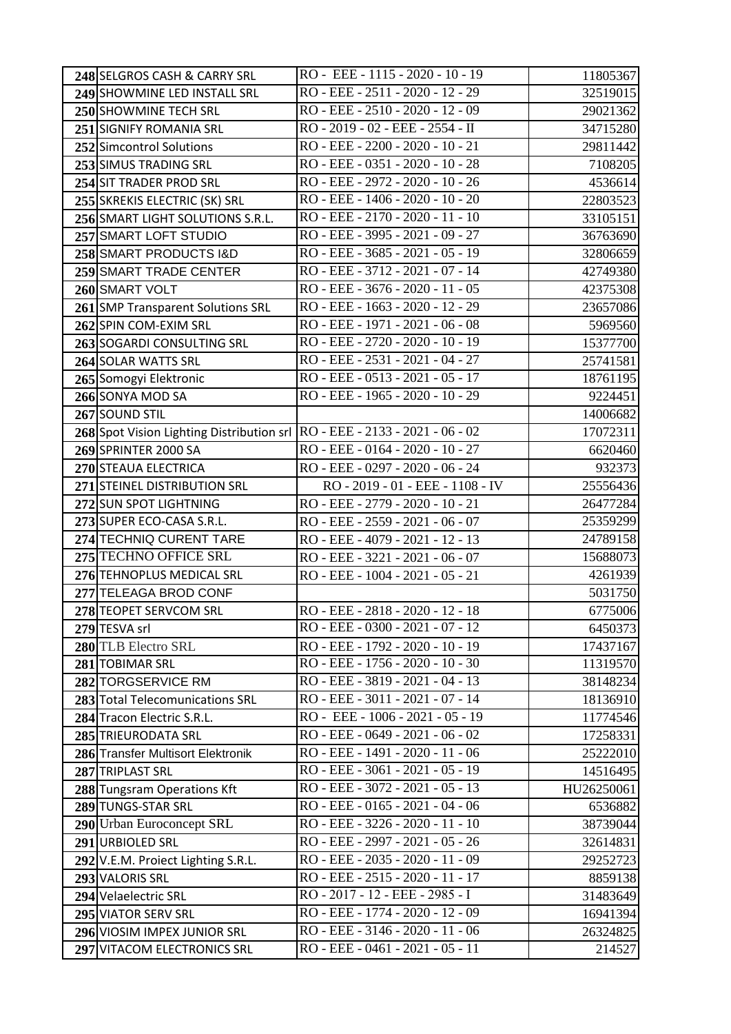| 248 SELGROS CASH & CARRY SRL                                               | RO - EEE - 1115 - 2020 - 10 - 19   | 11805367   |
|----------------------------------------------------------------------------|------------------------------------|------------|
| 249 SHOWMINE LED INSTALL SRL                                               | RO - EEE - 2511 - 2020 - 12 - 29   | 32519015   |
| 250 SHOWMINE TECH SRL                                                      | RO - EEE - 2510 - 2020 - 12 - 09   | 29021362   |
| 251 SIGNIFY ROMANIA SRL                                                    | RO - 2019 - 02 - EEE - 2554 - II   | 34715280   |
| 252 Simcontrol Solutions                                                   | RO - EEE - 2200 - 2020 - 10 - 21   | 29811442   |
| 253 SIMUS TRADING SRL                                                      | RO - EEE - 0351 - 2020 - 10 - 28   | 7108205    |
| 254 SIT TRADER PROD SRL                                                    | RO - EEE - 2972 - 2020 - 10 - 26   | 4536614    |
| 255 SKREKIS ELECTRIC (SK) SRL                                              | RO - EEE - 1406 - 2020 - 10 - 20   | 22803523   |
| 256 SMART LIGHT SOLUTIONS S.R.L.                                           | RO - EEE - 2170 - 2020 - 11 - 10   | 33105151   |
| 257 SMART LOFT STUDIO                                                      | RO - EEE - 3995 - 2021 - 09 - 27   | 36763690   |
| 258 SMART PRODUCTS I&D                                                     | RO - EEE - 3685 - 2021 - 05 - 19   | 32806659   |
| 259 SMART TRADE CENTER                                                     | RO - EEE - 3712 - 2021 - 07 - 14   | 42749380   |
| 260 SMART VOLT                                                             | RO - EEE - 3676 - 2020 - 11 - 05   | 42375308   |
| 261 SMP Transparent Solutions SRL                                          | RO - EEE - 1663 - 2020 - 12 - 29   | 23657086   |
| 262 SPIN COM-EXIM SRL                                                      | RO - EEE - 1971 - 2021 - 06 - 08   | 5969560    |
| 263 SOGARDI CONSULTING SRL                                                 | RO - EEE - 2720 - 2020 - 10 - 19   | 15377700   |
| 264 SOLAR WATTS SRL                                                        | RO - EEE - 2531 - 2021 - 04 - 27   | 25741581   |
| 265 Somogyi Elektronic                                                     | RO - EEE - 0513 - 2021 - 05 - 17   | 18761195   |
| 266 SONYA MOD SA                                                           | RO - EEE - 1965 - 2020 - 10 - 29   | 9224451    |
| 267 SOUND STIL                                                             |                                    | 14006682   |
| 268 Spot Vision Lighting Distribution srl RO - EEE - 2133 - 2021 - 06 - 02 |                                    | 17072311   |
| 269 SPRINTER 2000 SA                                                       | RO - EEE - 0164 - 2020 - 10 - 27   | 6620460    |
| 270 STEAUA ELECTRICA                                                       | RO - EEE - 0297 - 2020 - 06 - 24   | 932373     |
| 271 STEINEL DISTRIBUTION SRL                                               | RO - 2019 - 01 - EEE - 1108 - IV   | 25556436   |
| 272 SUN SPOT LIGHTNING                                                     | RO - EEE - 2779 - 2020 - 10 - 21   | 26477284   |
| 273 SUPER ECO-CASA S.R.L.                                                  | RO - EEE - 2559 - 2021 - 06 - 07   | 25359299   |
| 274 TECHNIQ CURENT TARE                                                    | RO - EEE - 4079 - 2021 - 12 - 13   | 24789158   |
| 275 TECHNO OFFICE SRL                                                      | RO - EEE - 3221 - 2021 - 06 - 07   | 15688073   |
| 276 TEHNOPLUS MEDICAL SRL                                                  | RO - EEE - 1004 - 2021 - 05 - 21   | 4261939    |
| 277 TELEAGA BROD CONF                                                      |                                    | 5031750    |
| 278 TEOPET SERVCOM SRL                                                     | RO - EEE - 2818 - 2020 - 12 - 18   | 6775006    |
| 279 TESVA srl                                                              | RO - EEE - 0300 - 2021 - 07 - 12   | 6450373    |
| 280 TLB Electro SRL                                                        | RO - EEE - 1792 - 2020 - 10 - 19   | 17437167   |
| 281 TOBIMAR SRL                                                            | RO - EEE - 1756 - 2020 - 10 - 30   | 11319570   |
| 282 TORGSERVICE RM                                                         | RO - EEE - 3819 - 2021 - 04 - 13   | 38148234   |
| 283 Total Telecomunications SRL                                            | RO - EEE - 3011 - 2021 - 07 - 14   | 18136910   |
| 284 Tracon Electric S.R.L.                                                 | RO - EEE - 1006 - 2021 - 05 - 19   | 11774546   |
| 285 TRIEURODATA SRL                                                        | RO - EEE - 0649 - 2021 - 06 - 02   | 17258331   |
| 286 Transfer Multisort Elektronik                                          | RO - EEE - 1491 - 2020 - 11 - 06   | 25222010   |
| 287 TRIPLAST SRL                                                           | RO - EEE - 3061 - 2021 - 05 - 19   | 14516495   |
| 288 Tungsram Operations Kft                                                | RO - EEE - 3072 - 2021 - 05 - 13   | HU26250061 |
| 289 TUNGS-STAR SRL                                                         | RO - EEE - 0165 - 2021 - 04 - 06   | 6536882    |
| 290 Urban Euroconcept SRL                                                  | RO - EEE - 3226 - 2020 - 11 - 10   | 38739044   |
| 291 URBIOLED SRL                                                           | RO - EEE - 2997 - 2021 - 05 - 26   | 32614831   |
| 292 V.E.M. Proiect Lighting S.R.L.                                         | RO - EEE - 2035 - 2020 - 11 - 09   | 29252723   |
| 293 VALORIS SRL                                                            | RO - EEE - 2515 - 2020 - 11 - 17   | 8859138    |
| 294 Velaelectric SRL                                                       | RO - 2017 - 12 - EEE - 2985 - I    | 31483649   |
| 295 VIATOR SERV SRL                                                        | RO - EEE - 1774 - 2020 - 12 - 09   | 16941394   |
| 296 VIOSIM IMPEX JUNIOR SRL                                                | RO - EEE - 3146 - 2020 - 11 - 06   | 26324825   |
| 297 VITACOM ELECTRONICS SRL                                                | $RO$ - EEE - 0461 - 2021 - 05 - 11 | 214527     |